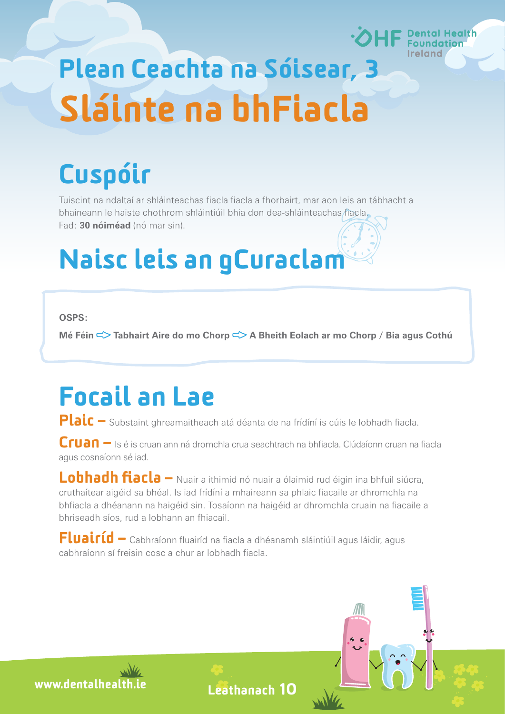# **Health**

# Plean Ceachta na Sóisear, 3 Sláinte na bhFiacla

# Cuspóir

Tuiscint na ndaltaí ar shláinteachas fiacla fiacla a fhorbairt, mar aon leis an tábhacht a bhaineann le haiste chothrom shláintiúil bhia don dea-shláinteachas fiacla. Fad: **30 nóiméad** (nó mar sin).

# Naisc leis an gCuraclam

**OSPS:**

**Mé Féin ⊂ > Tabhairt Aire do mo Chorp ⊂ > A Bheith Eolach ar mo Chorp / Bia agus Cothú** 

### Focail an Lae

Plaic – Substaint ghreamaitheach atá déanta de na frídíní is cúis le lobhadh fiacla.

Cruan – Is é is cruan ann ná dromchla crua seachtrach na bhfiacla. Clúdaíonn cruan na fiacla agus cosnaíonn sé iad.

Lobhadh fiacla – Nuair a ithimid nó nuair a ólaimid rud éigin ina bhfuil siúcra, cruthaítear aigéid sa bhéal. Is iad frídíní a mhaireann sa phlaic fiacaile ar dhromchla na bhfiacla a dhéanann na haigéid sin. Tosaíonn na haigéid ar dhromchla cruain na fiacaile a bhriseadh síos, rud a lobhann an fhiacail.

Fluairíd – Cabhraíonn fluairíd na fiacla a dhéanamh sláintiúil agus láidir, agus cabhraíonn sí freisin cosc a chur ar lobhadh fiacla.

www.dentalhealth.i

Leathanach 10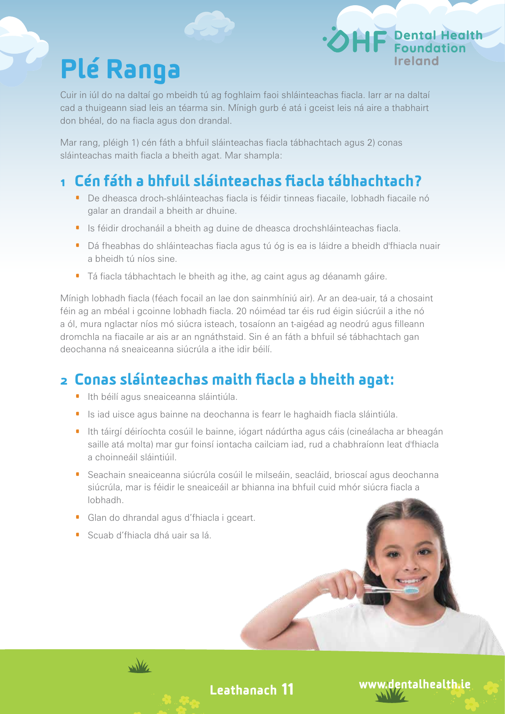## Plé Ranga

Cuir in iúl do na daltaí go mbeidh tú ag foghlaim faoi shláinteachas fiacla. Iarr ar na daltaí cad a thuigeann siad leis an téarma sin. Mínigh gurb é atá i gceist leis ná aire a thabhairt don bhéal, do na fiacla agus don drandal.

Mar rang, pléigh 1) cén fáth a bhfuil sláinteachas fiacla tábhachtach agus 2) conas sláinteachas maith fiacla a bheith agat. Mar shampla:

#### 1 Cén fáth a bhfuil sláinteachas fiacla tábhachtach?

- · De dheasca droch-shláinteachas fiacla is féidir tinneas fiacaile, lobhadh fiacaile nó galar an drandail a bheith ar dhuine.
- · Is féidir drochanáil a bheith ag duine de dheasca drochshláinteachas fiacla.
- · Dá fheabhas do shláinteachas fiacla agus tú óg is ea is láidre a bheidh d'fhiacla nuair a bheidh tú níos sine.
- · Tá fiacla tábhachtach le bheith ag ithe, ag caint agus ag déanamh gáire.

Mínigh lobhadh fiacla (féach focail an lae don sainmhíniú air). Ar an dea-uair, tá a chosaint féin ag an mbéal i gcoinne lobhadh fiacla. 20 nóiméad tar éis rud éigin siúcrúil a ithe nó a ól, mura nglactar níos mó siúcra isteach, tosaíonn an t-aigéad ag neodrú agus filleann dromchla na fiacaile ar ais ar an ngnáthstaid. Sin é an fáth a bhfuil sé tábhachtach gan deochanna ná sneaiceanna siúcrúla a ithe idir béilí.

#### 2 Conas sláinteachas maith fiacla a bheith agat:

- · Ith béilí agus sneaiceanna sláintiúla.
- · Is iad uisce agus bainne na deochanna is fearr le haghaidh fiacla sláintiúla.
- · Ith táirgí déiríochta cosúil le bainne, iógart nádúrtha agus cáis (cineálacha ar bheagán saille atá molta) mar gur foinsí iontacha cailciam iad, rud a chabhraíonn leat d'fhiacla a choinneáil sláintiúil.
- · Seachain sneaiceanna siúcrúla cosúil le milseáin, seacláid, brioscaí agus deochanna siúcrúla, mar is féidir le sneaiceáil ar bhianna ina bhfuil cuid mhór siúcra fiacla a lobhadh.
- · Glan do dhrandal agus d'fhiacla i gceart.
- · Scuab d'fhiacla dhá uair sa lá.



Leathanach 11

www.dentalhealth.ie

**P** Dental Health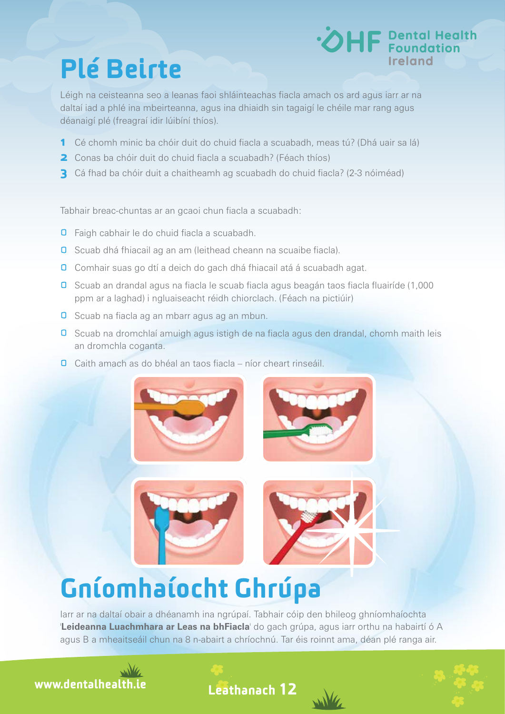## Plé Beirte

Léigh na ceisteanna seo a leanas faoi shláinteachas fiacla amach os ard agus iarr ar na daltaí iad a phlé ina mbeirteanna, agus ina dhiaidh sin tagaigí le chéile mar rang agus déanaigí plé (freagraí idir lúibíní thíos).

- 1 Cé chomh minic ba chóir duit do chuid fiacla a scuabadh, meas tú? (Dhá uair sa lá)
- **2** Conas ba chóir duit do chuid fiacla a scuabadh? (Féach thíos)
- 3 Cá fhad ba chóir duit a chaitheamh ag scuabadh do chuid fiacla? (2-3 nóiméad)

Tabhair breac-chuntas ar an gcaoi chun fiacla a scuabadh:

- **O** Faigh cabhair le do chuid fiacla a scuabadh.
- **O** Scuab dhá fhiacail ag an am (leithead cheann na scuaibe fiacla).
- **O** Comhair suas go dtí a deich do gach dhá fhiacail atá á scuabadh agat.
- Scuab an drandal agus na fiacla le scuab fiacla agus beagán taos fiacla fluairíde (1,000 ppm ar a laghad) i ngluaiseacht réidh chiorclach. (Féach na pictiúir)
- **D** Scuab na fiacla ag an mbarr agus ag an mbun.
- **O** Scuab na dromchlaí amuigh agus istigh de na fiacla agus den drandal, chomh maith leis an dromchla coganta.
- Caith amach as do bhéal an taos fiacla níor cheart rinseáil.



### Gníomhaíocht Ghrúpa

Iarr ar na daltaí obair a dhéanamh ina ngrúpaí. Tabhair cóip den bhileog ghníomhaíochta '**Leideanna Luachmhara ar Leas na bhFiacla**' do gach grúpa, agus iarr orthu na habairtí ó A agus B a mheaitseáil chun na 8 n-abairt a chríochnú. Tar éis roinnt ama, déan plé ranga air.









**HF** Dental Health

**Ireland**